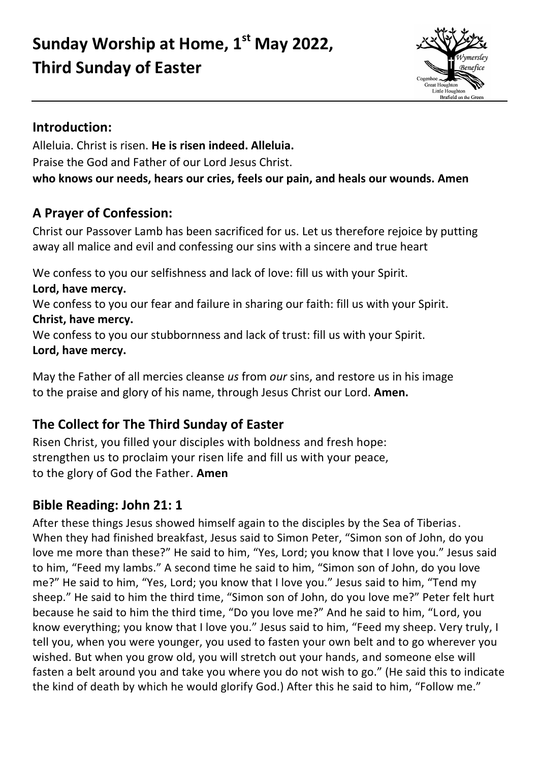# **Sunday Worship at Home, 1 st May 2022, Third Sunday of Easter**



# **Introduction:**

Alleluia. Christ is risen. **He is risen indeed. Alleluia.**  Praise the God and Father of our Lord Jesus Christ. **who knows our needs, hears our cries, feels our pain, and heals our wounds. Amen**

# **A Prayer of Confession:**

Christ our Passover Lamb has been sacrificed for us. Let us therefore rejoice by putting away all malice and evil and confessing our sins with a sincere and true heart

We confess to you our selfishness and lack of love: fill us with your Spirit.

#### **Lord, have mercy.**

We confess to you our fear and failure in sharing our faith: fill us with your Spirit. **Christ, have mercy.**

We confess to you our stubbornness and lack of trust: fill us with your Spirit. **Lord, have mercy.**

May the Father of all mercies cleanse *us* from *our* sins, and restore us in his image to the praise and glory of his name, through Jesus Christ our Lord. **Amen.**

# **The Collect for The Third Sunday of Easter**

Risen Christ, you filled your disciples with boldness and fresh hope: strengthen us to proclaim your risen life and fill us with your peace, to the glory of God the Father. **Amen**

# **Bible Reading: John 21: 1**

After these things Jesus showed himself again to the disciples by the Sea of Tiberias. When they had finished breakfast, Jesus said to Simon Peter, "Simon son of John, do you love me more than these?" He said to him, "Yes, Lord; you know that I love you." Jesus said to him, "Feed my lambs." A second time he said to him, "Simon son of John, do you love me?" He said to him, "Yes, Lord; you know that I love you." Jesus said to him, "Tend my sheep." He said to him the third time, "Simon son of John, do you love me?" Peter felt hurt because he said to him the third time, "Do you love me?" And he said to him, "Lord, you know everything; you know that I love you." Jesus said to him, "Feed my sheep. Very truly, I tell you, when you were younger, you used to fasten your own belt and to go wherever you wished. But when you grow old, you will stretch out your hands, and someone else will fasten a belt around you and take you where you do not wish to go." (He said this to indicate the kind of death by which he would glorify God.) After this he said to him, "Follow me."